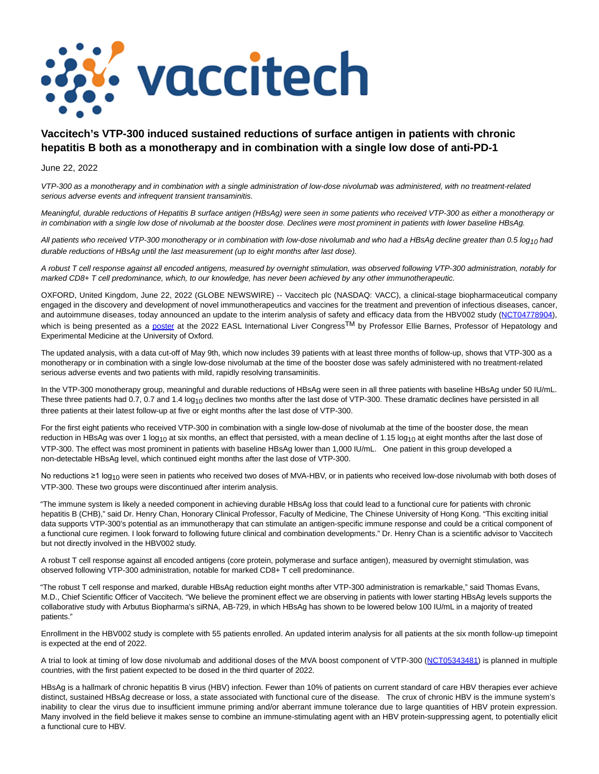

# **Vaccitech's VTP-300 induced sustained reductions of surface antigen in patients with chronic hepatitis B both as a monotherapy and in combination with a single low dose of anti-PD-1**

June 22, 2022

VTP-300 as a monotherapy and in combination with a single administration of low-dose nivolumab was administered, with no treatment-related serious adverse events and infrequent transient transaminitis.

Meaningful, durable reductions of Hepatitis B surface antigen (HBsAg) were seen in some patients who received VTP-300 as either a monotherapy or in combination with a single low dose of nivolumab at the booster dose. Declines were most prominent in patients with lower baseline HBsAg.

All patients who received VTP-300 monotherapy or in combination with low-dose nivolumab and who had a HBsAg decline greater than 0.5 log<sub>10</sub> had durable reductions of HBsAg until the last measurement (up to eight months after last dose).

A robust T cell response against all encoded antigens, measured by overnight stimulation, was observed following VTP-300 administration, notably for marked CD8+ T cell predominance, which, to our knowledge, has never been achieved by any other immunotherapeutic.

OXFORD, United Kingdom, June 22, 2022 (GLOBE NEWSWIRE) -- Vaccitech plc (NASDAQ: VACC), a clinical-stage biopharmaceutical company engaged in the discovery and development of novel immunotherapeutics and vaccines for the treatment and prevention of infectious diseases, cancer, and autoimmune diseases, today announced an update to the interim analysis of safety and efficacy data from the HBV002 study [\(NCT04778904\),](https://www.globenewswire.com/Tracker?data=s9WIOo4OyGfLRyUnlcj1dlTzbyg9K0ozNQ9oO4ohSFUHsb-wiZN2Ne9JEcvpJvucM4eW8_fyqCHZXFi7u4Z8c4_oIp_tcCTmKmFaa195zd2P_o58gSbT9jd9Mnxox6-8kB5xvIH5EZh-75stcqAbBA==) which is being presented as a [poster](https://investors.vaccitech.co.uk/news-and-events/events/event-details/international-liver-congress-2022) at the 2022 EASL International Liver Congress<sup>TM</sup> by Professor Ellie Barnes, Professor of Hepatology and Experimental Medicine at the University of Oxford.

The updated analysis, with a data cut-off of May 9th, which now includes 39 patients with at least three months of follow-up, shows that VTP-300 as a monotherapy or in combination with a single low-dose nivolumab at the time of the booster dose was safely administered with no treatment-related serious adverse events and two patients with mild, rapidly resolving transaminitis.

In the VTP-300 monotherapy group, meaningful and durable reductions of HBsAg were seen in all three patients with baseline HBsAg under 50 IU/mL. These three patients had 0.7, 0.7 and 1.4 log<sub>10</sub> declines two months after the last dose of VTP-300. These dramatic declines have persisted in all three patients at their latest follow-up at five or eight months after the last dose of VTP-300.

For the first eight patients who received VTP-300 in combination with a single low-dose of nivolumab at the time of the booster dose, the mean reduction in HBsAg was over 1 log<sub>10</sub> at six months, an effect that persisted, with a mean decline of 1.15 log<sub>10</sub> at eight months after the last dose of VTP-300. The effect was most prominent in patients with baseline HBsAg lower than 1,000 IU/mL. One patient in this group developed a non-detectable HBsAg level, which continued eight months after the last dose of VTP-300.

No reductions ≥1 log<sub>10</sub> were seen in patients who received two doses of MVA-HBV, or in patients who received low-dose nivolumab with both doses of VTP-300. These two groups were discontinued after interim analysis.

"The immune system is likely a needed component in achieving durable HBsAg loss that could lead to a functional cure for patients with chronic hepatitis B (CHB)," said Dr. Henry Chan, Honorary Clinical Professor, Faculty of Medicine, The Chinese University of Hong Kong. "This exciting initial data supports VTP-300's potential as an immunotherapy that can stimulate an antigen-specific immune response and could be a critical component of a functional cure regimen. I look forward to following future clinical and combination developments." Dr. Henry Chan is a scientific advisor to Vaccitech but not directly involved in the HBV002 study.

A robust T cell response against all encoded antigens (core protein, polymerase and surface antigen), measured by overnight stimulation, was observed following VTP-300 administration, notable for marked CD8+ T cell predominance.

"The robust T cell response and marked, durable HBsAg reduction eight months after VTP-300 administration is remarkable," said Thomas Evans, M.D., Chief Scientific Officer of Vaccitech. "We believe the prominent effect we are observing in patients with lower starting HBsAg levels supports the collaborative study with Arbutus Biopharma's siRNA, AB-729, in which HBsAg has shown to be lowered below 100 IU/mL in a majority of treated patients."

Enrollment in the HBV002 study is complete with 55 patients enrolled. An updated interim analysis for all patients at the six month follow-up timepoint is expected at the end of 2022.

A trial to look at timing of low dose nivolumab and additional doses of the MVA boost component of VTP-300 [\(NCT05343481\)](https://www.globenewswire.com/Tracker?data=fZ3e6QC2zhAfA1YKNiz13UN9DPrpr-YSSkw8gImds5OQI6TDwKtmsENO8KqRJ_j1aIq5bAwsHQmdKs_F_BW_6X66BOO3rOqNQx8q__7Ye5JCBkoYjL8V9ggYMD9SccITBhkDOexlsjHDoAR3se-lVg==) is planned in multiple countries, with the first patient expected to be dosed in the third quarter of 2022.

HBsAg is a hallmark of chronic hepatitis B virus (HBV) infection. Fewer than 10% of patients on current standard of care HBV therapies ever achieve distinct, sustained HBsAg decrease or loss, a state associated with functional cure of the disease. The crux of chronic HBV is the immune system's inability to clear the virus due to insufficient immune priming and/or aberrant immune tolerance due to large quantities of HBV protein expression. Many involved in the field believe it makes sense to combine an immune-stimulating agent with an HBV protein-suppressing agent, to potentially elicit a functional cure to HBV.